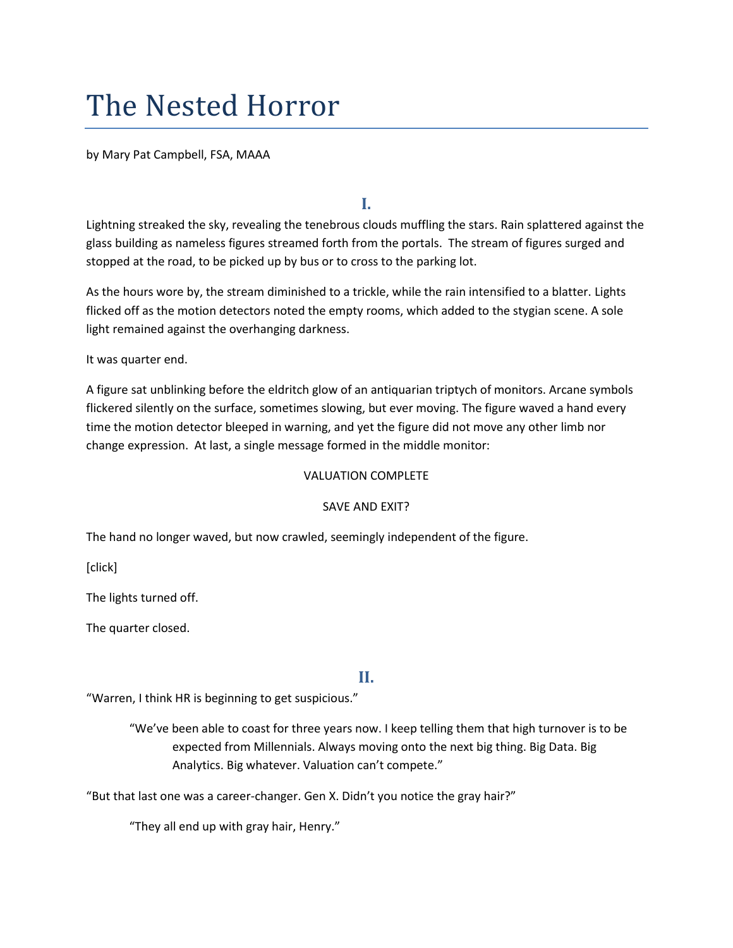# The Nested Horror

by Mary Pat Campbell, FSA, MAAA

**I.**

Lightning streaked the sky, revealing the tenebrous clouds muffling the stars. Rain splattered against the glass building as nameless figures streamed forth from the portals. The stream of figures surged and stopped at the road, to be picked up by bus or to cross to the parking lot.

As the hours wore by, the stream diminished to a trickle, while the rain intensified to a blatter. Lights flicked off as the motion detectors noted the empty rooms, which added to the stygian scene. A sole light remained against the overhanging darkness.

It was quarter end.

A figure sat unblinking before the eldritch glow of an antiquarian triptych of monitors. Arcane symbols flickered silently on the surface, sometimes slowing, but ever moving. The figure waved a hand every time the motion detector bleeped in warning, and yet the figure did not move any other limb nor change expression. At last, a single message formed in the middle monitor:

#### VALUATION COMPLETE

#### SAVE AND EXIT?

The hand no longer waved, but now crawled, seemingly independent of the figure.

[click]

The lights turned off.

The quarter closed.

# **II.**

"Warren, I think HR is beginning to get suspicious."

"We've been able to coast for three years now. I keep telling them that high turnover is to be expected from Millennials. Always moving onto the next big thing. Big Data. Big Analytics. Big whatever. Valuation can't compete."

"But that last one was a career-changer. Gen X. Didn't you notice the gray hair?"

"They all end up with gray hair, Henry."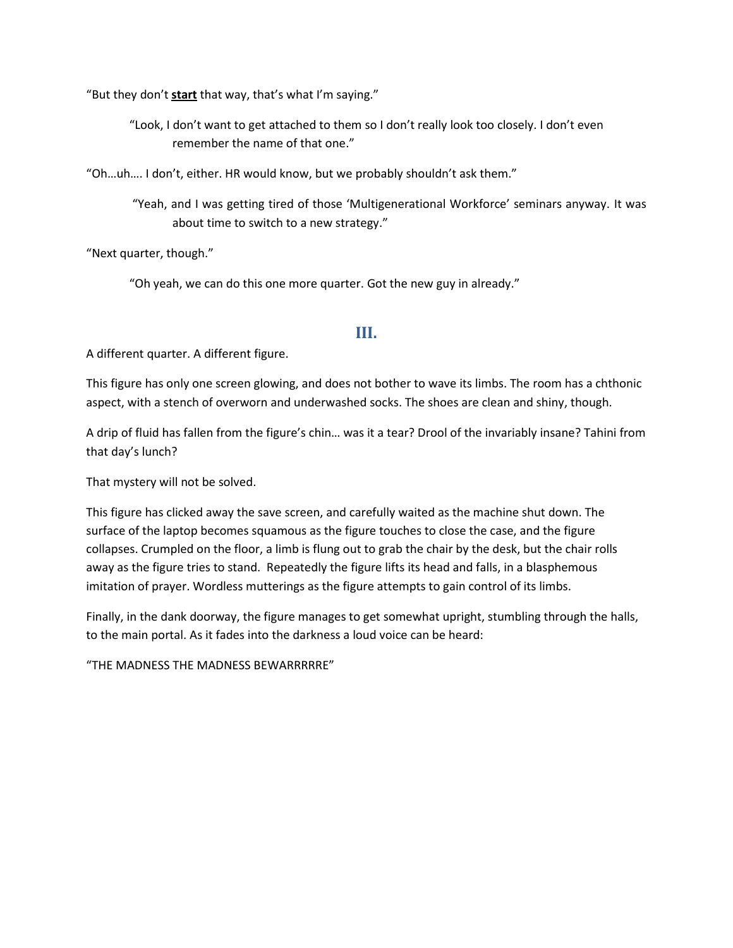"But they don't **start** that way, that's what I'm saying."

"Look, I don't want to get attached to them so I don't really look too closely. I don't even remember the name of that one."

"Oh…uh…. I don't, either. HR would know, but we probably shouldn't ask them."

"Yeah, and I was getting tired of those 'Multigenerational Workforce' seminars anyway. It was about time to switch to a new strategy."

"Next quarter, though."

"Oh yeah, we can do this one more quarter. Got the new guy in already."

# **III.**

A different quarter. A different figure.

This figure has only one screen glowing, and does not bother to wave its limbs. The room has a chthonic aspect, with a stench of overworn and underwashed socks. The shoes are clean and shiny, though.

A drip of fluid has fallen from the figure's chin… was it a tear? Drool of the invariably insane? Tahini from that day's lunch?

That mystery will not be solved.

This figure has clicked away the save screen, and carefully waited as the machine shut down. The surface of the laptop becomes squamous as the figure touches to close the case, and the figure collapses. Crumpled on the floor, a limb is flung out to grab the chair by the desk, but the chair rolls away as the figure tries to stand. Repeatedly the figure lifts its head and falls, in a blasphemous imitation of prayer. Wordless mutterings as the figure attempts to gain control of its limbs.

Finally, in the dank doorway, the figure manages to get somewhat upright, stumbling through the halls, to the main portal. As it fades into the darkness a loud voice can be heard:

"THE MADNESS THE MADNESS BEWARRRRRE"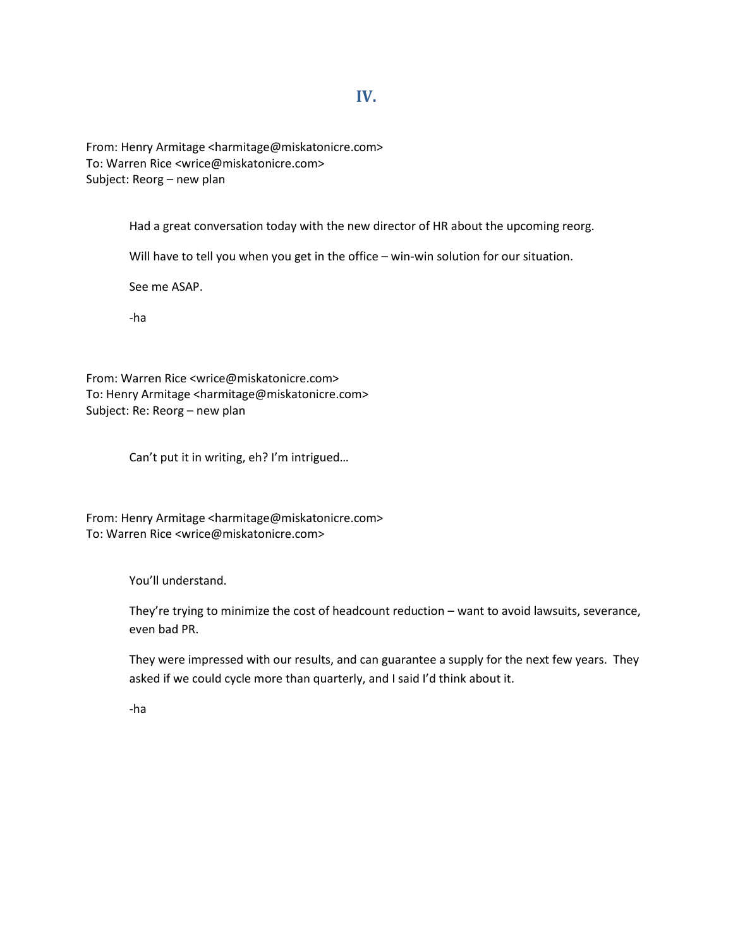# **IV.**

From: Henry Armitage <harmitage@miskatonicre.com> To: Warren Rice <wrice@miskatonicre.com> Subject: Reorg – new plan

Had a great conversation today with the new director of HR about the upcoming reorg.

Will have to tell you when you get in the office – win-win solution for our situation.

See me ASAP.

-ha

From: Warren Rice <wrice@miskatonicre.com> To: Henry Armitage <harmitage@miskatonicre.com> Subject: Re: Reorg – new plan

Can't put it in writing, eh? I'm intrigued…

From: Henry Armitage <harmitage@miskatonicre.com> To: Warren Rice <wrice@miskatonicre.com>

You'll understand.

They're trying to minimize the cost of headcount reduction – want to avoid lawsuits, severance, even bad PR.

They were impressed with our results, and can guarantee a supply for the next few years. They asked if we could cycle more than quarterly, and I said I'd think about it.

<sup>-</sup>ha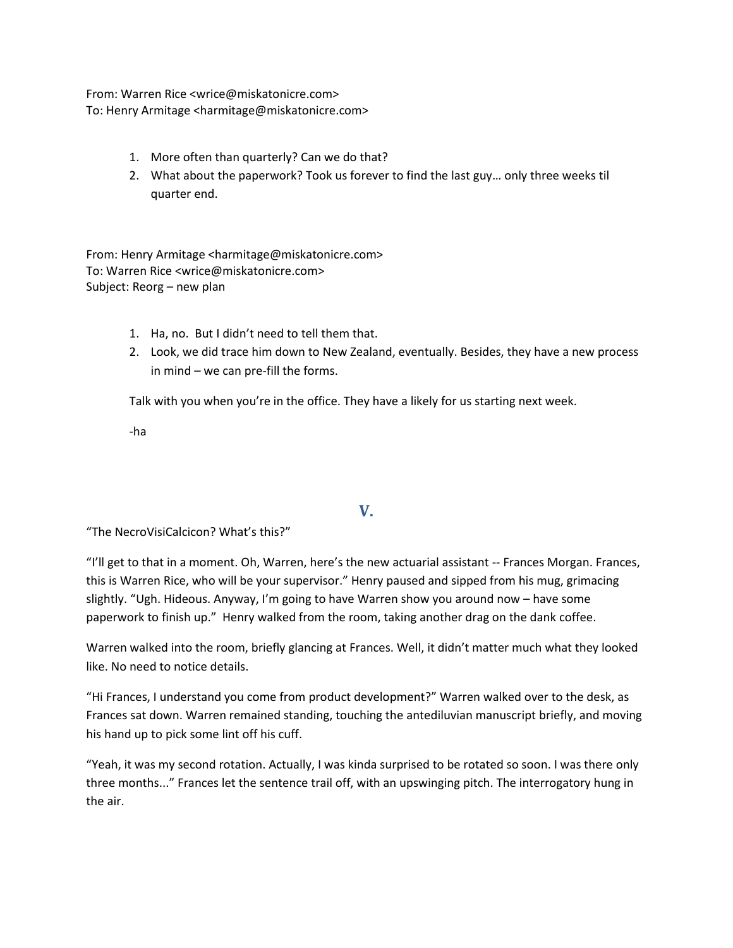From: Warren Rice <wrice@miskatonicre.com> To: Henry Armitage <harmitage@miskatonicre.com>

- 1. More often than quarterly? Can we do that?
- 2. What about the paperwork? Took us forever to find the last guy… only three weeks til quarter end.

From: Henry Armitage <harmitage@miskatonicre.com> To: Warren Rice <wrice@miskatonicre.com> Subject: Reorg – new plan

- 1. Ha, no. But I didn't need to tell them that.
- 2. Look, we did trace him down to New Zealand, eventually. Besides, they have a new process in mind – we can pre-fill the forms.

Talk with you when you're in the office. They have a likely for us starting next week.

-ha

# **V.**

"The NecroVisiCalcicon? What's this?"

"I'll get to that in a moment. Oh, Warren, here's the new actuarial assistant -- Frances Morgan. Frances, this is Warren Rice, who will be your supervisor." Henry paused and sipped from his mug, grimacing slightly. "Ugh. Hideous. Anyway, I'm going to have Warren show you around now – have some paperwork to finish up." Henry walked from the room, taking another drag on the dank coffee.

Warren walked into the room, briefly glancing at Frances. Well, it didn't matter much what they looked like. No need to notice details.

"Hi Frances, I understand you come from product development?" Warren walked over to the desk, as Frances sat down. Warren remained standing, touching the antediluvian manuscript briefly, and moving his hand up to pick some lint off his cuff.

"Yeah, it was my second rotation. Actually, I was kinda surprised to be rotated so soon. I was there only three months..." Frances let the sentence trail off, with an upswinging pitch. The interrogatory hung in the air.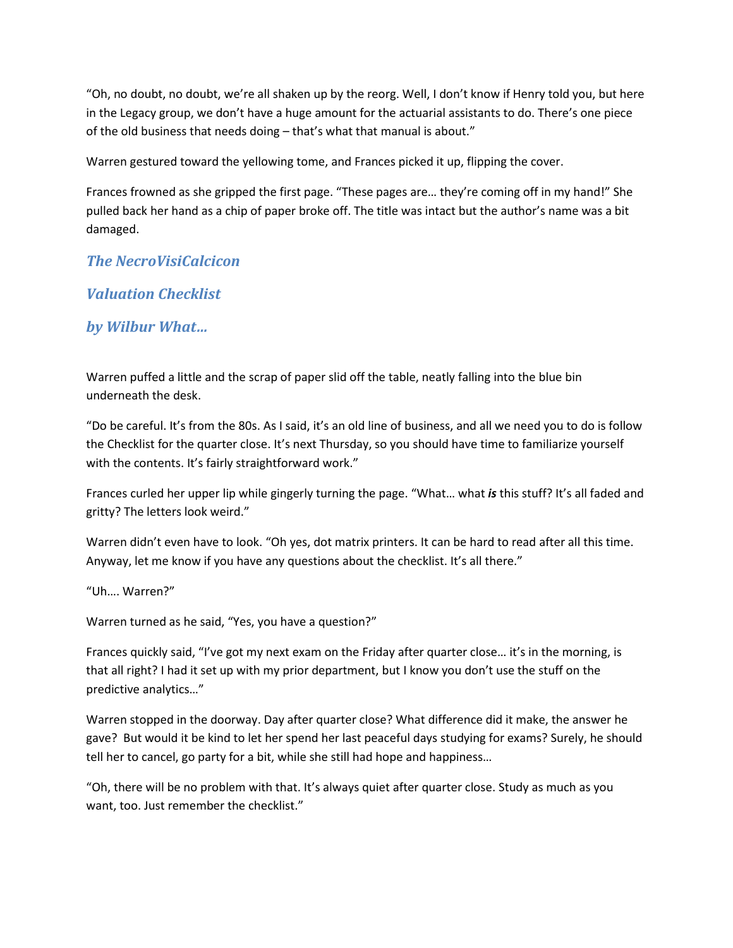"Oh, no doubt, no doubt, we're all shaken up by the reorg. Well, I don't know if Henry told you, but here in the Legacy group, we don't have a huge amount for the actuarial assistants to do. There's one piece of the old business that needs doing – that's what that manual is about."

Warren gestured toward the yellowing tome, and Frances picked it up, flipping the cover.

Frances frowned as she gripped the first page. "These pages are… they're coming off in my hand!" She pulled back her hand as a chip of paper broke off. The title was intact but the author's name was a bit damaged.

# *The NecroVisiCalcicon*

# *Valuation Checklist*

# *by Wilbur What…*

Warren puffed a little and the scrap of paper slid off the table, neatly falling into the blue bin underneath the desk.

"Do be careful. It's from the 80s. As I said, it's an old line of business, and all we need you to do is follow the Checklist for the quarter close. It's next Thursday, so you should have time to familiarize yourself with the contents. It's fairly straightforward work."

Frances curled her upper lip while gingerly turning the page. "What… what *is* this stuff? It's all faded and gritty? The letters look weird."

Warren didn't even have to look. "Oh yes, dot matrix printers. It can be hard to read after all this time. Anyway, let me know if you have any questions about the checklist. It's all there."

#### "Uh…. Warren?"

Warren turned as he said, "Yes, you have a question?"

Frances quickly said, "I've got my next exam on the Friday after quarter close… it's in the morning, is that all right? I had it set up with my prior department, but I know you don't use the stuff on the predictive analytics…"

Warren stopped in the doorway. Day after quarter close? What difference did it make, the answer he gave? But would it be kind to let her spend her last peaceful days studying for exams? Surely, he should tell her to cancel, go party for a bit, while she still had hope and happiness…

"Oh, there will be no problem with that. It's always quiet after quarter close. Study as much as you want, too. Just remember the checklist."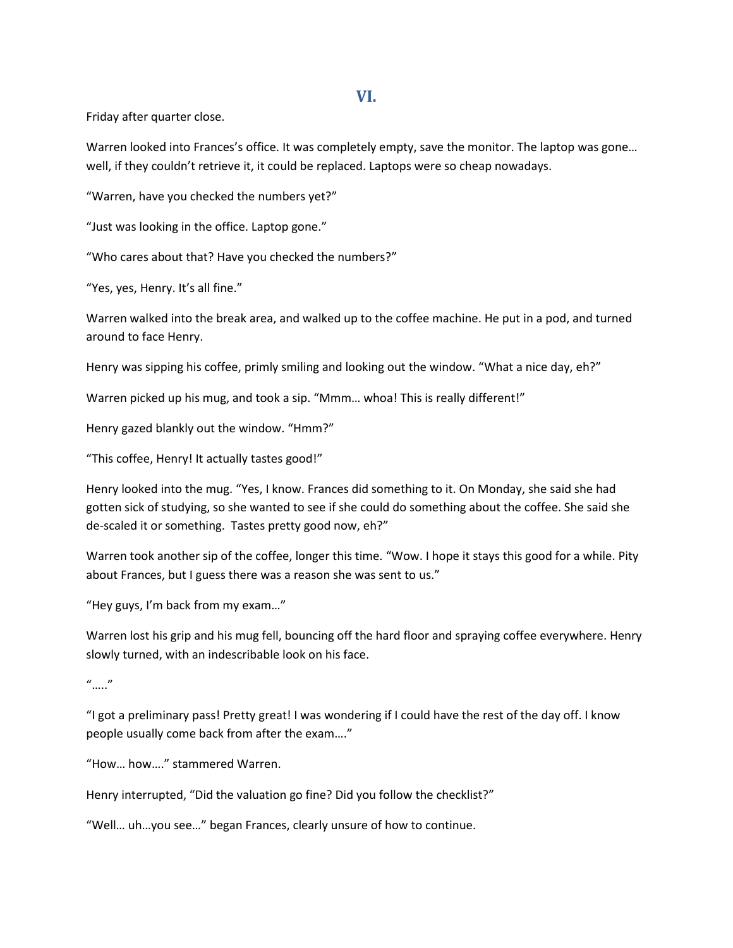#### **VI.**

Friday after quarter close.

Warren looked into Frances's office. It was completely empty, save the monitor. The laptop was gone… well, if they couldn't retrieve it, it could be replaced. Laptops were so cheap nowadays.

"Warren, have you checked the numbers yet?"

"Just was looking in the office. Laptop gone."

"Who cares about that? Have you checked the numbers?"

"Yes, yes, Henry. It's all fine."

Warren walked into the break area, and walked up to the coffee machine. He put in a pod, and turned around to face Henry.

Henry was sipping his coffee, primly smiling and looking out the window. "What a nice day, eh?"

Warren picked up his mug, and took a sip. "Mmm… whoa! This is really different!"

Henry gazed blankly out the window. "Hmm?"

"This coffee, Henry! It actually tastes good!"

Henry looked into the mug. "Yes, I know. Frances did something to it. On Monday, she said she had gotten sick of studying, so she wanted to see if she could do something about the coffee. She said she de-scaled it or something. Tastes pretty good now, eh?"

Warren took another sip of the coffee, longer this time. "Wow. I hope it stays this good for a while. Pity about Frances, but I guess there was a reason she was sent to us."

"Hey guys, I'm back from my exam…"

Warren lost his grip and his mug fell, bouncing off the hard floor and spraying coffee everywhere. Henry slowly turned, with an indescribable look on his face.

 $"..."$ 

"I got a preliminary pass! Pretty great! I was wondering if I could have the rest of the day off. I know people usually come back from after the exam…."

"How… how…." stammered Warren.

Henry interrupted, "Did the valuation go fine? Did you follow the checklist?"

"Well… uh…you see…" began Frances, clearly unsure of how to continue.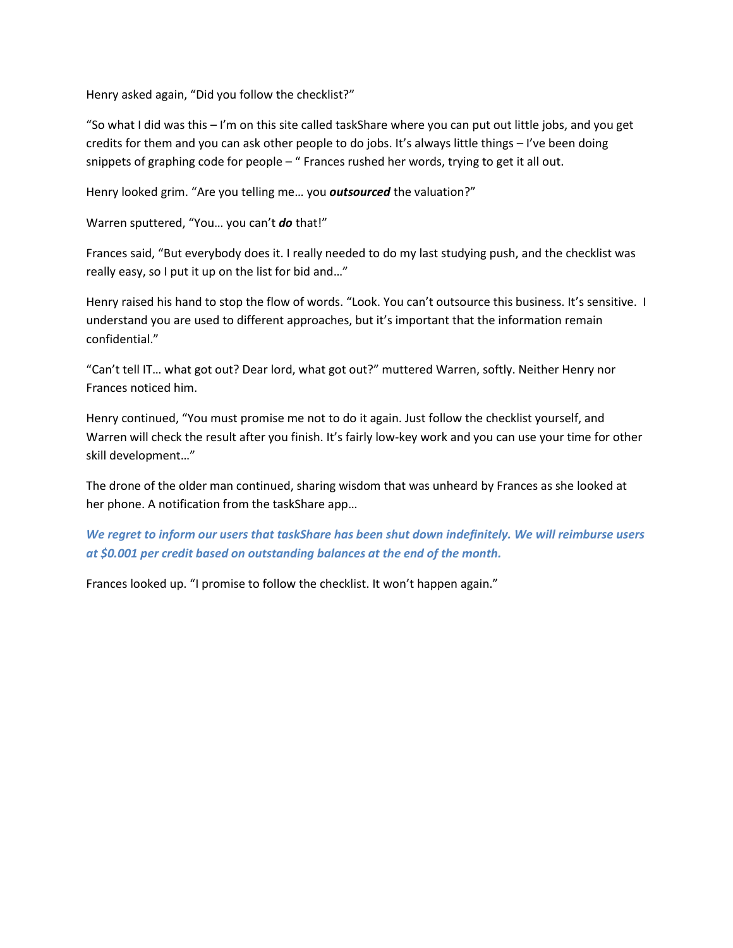Henry asked again, "Did you follow the checklist?"

"So what I did was this – I'm on this site called taskShare where you can put out little jobs, and you get credits for them and you can ask other people to do jobs. It's always little things – I've been doing snippets of graphing code for people – " Frances rushed her words, trying to get it all out.

Henry looked grim. "Are you telling me… you *outsourced* the valuation?"

Warren sputtered, "You… you can't *do* that!"

Frances said, "But everybody does it. I really needed to do my last studying push, and the checklist was really easy, so I put it up on the list for bid and…"

Henry raised his hand to stop the flow of words. "Look. You can't outsource this business. It's sensitive. I understand you are used to different approaches, but it's important that the information remain confidential."

"Can't tell IT… what got out? Dear lord, what got out?" muttered Warren, softly. Neither Henry nor Frances noticed him.

Henry continued, "You must promise me not to do it again. Just follow the checklist yourself, and Warren will check the result after you finish. It's fairly low-key work and you can use your time for other skill development…"

The drone of the older man continued, sharing wisdom that was unheard by Frances as she looked at her phone. A notification from the taskShare app…

#### *We regret to inform our users that taskShare has been shut down indefinitely. We will reimburse users at \$0.001 per credit based on outstanding balances at the end of the month.*

Frances looked up. "I promise to follow the checklist. It won't happen again."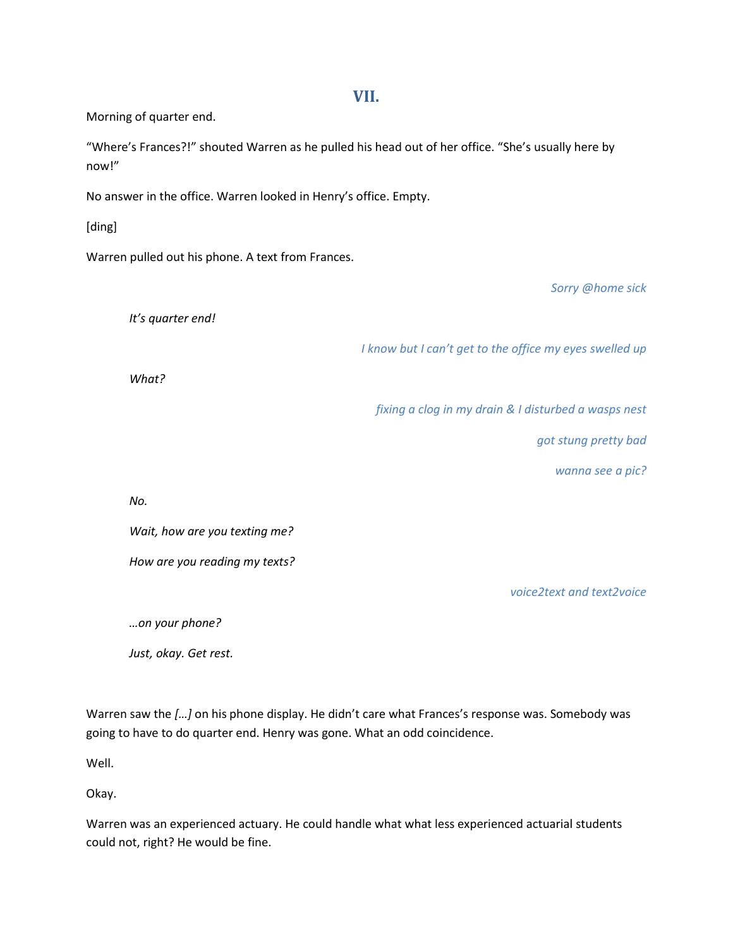#### **VII.**

Morning of quarter end.

"Where's Frances?!" shouted Warren as he pulled his head out of her office. "She's usually here by now!"

No answer in the office. Warren looked in Henry's office. Empty.

[ding]

Warren pulled out his phone. A text from Frances.

*Sorry @home sick* 

*It's quarter end!*

*I know but I can't get to the office my eyes swelled up* 

*What?*

*fixing a clog in my drain & I disturbed a wasps nest* 

*got stung pretty bad* 

*wanna see a pic?* 

*No.* 

*Wait, how are you texting me?* 

*How are you reading my texts?* 

*voice2text and text2voice* 

*…on your phone?*

*Just, okay. Get rest.* 

Warren saw the *[…]* on his phone display. He didn't care what Frances's response was. Somebody was going to have to do quarter end. Henry was gone. What an odd coincidence.

Well.

Okay.

Warren was an experienced actuary. He could handle what what less experienced actuarial students could not, right? He would be fine.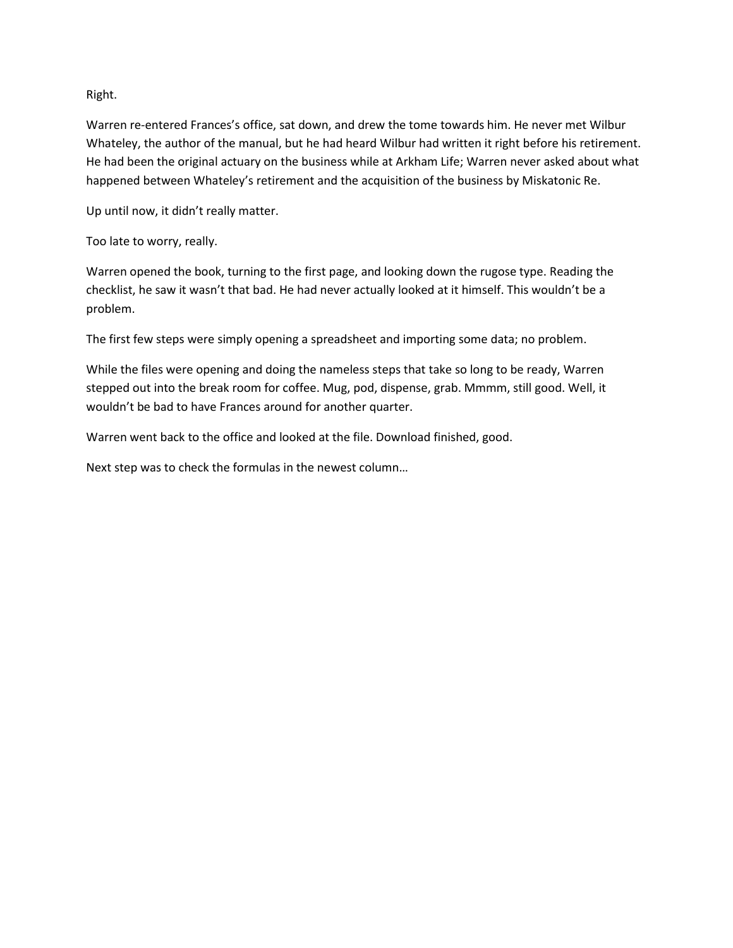Right.

Warren re-entered Frances's office, sat down, and drew the tome towards him. He never met Wilbur Whateley, the author of the manual, but he had heard Wilbur had written it right before his retirement. He had been the original actuary on the business while at Arkham Life; Warren never asked about what happened between Whateley's retirement and the acquisition of the business by Miskatonic Re.

Up until now, it didn't really matter.

Too late to worry, really.

Warren opened the book, turning to the first page, and looking down the rugose type. Reading the checklist, he saw it wasn't that bad. He had never actually looked at it himself. This wouldn't be a problem.

The first few steps were simply opening a spreadsheet and importing some data; no problem.

While the files were opening and doing the nameless steps that take so long to be ready, Warren stepped out into the break room for coffee. Mug, pod, dispense, grab. Mmmm, still good. Well, it wouldn't be bad to have Frances around for another quarter.

Warren went back to the office and looked at the file. Download finished, good.

Next step was to check the formulas in the newest column…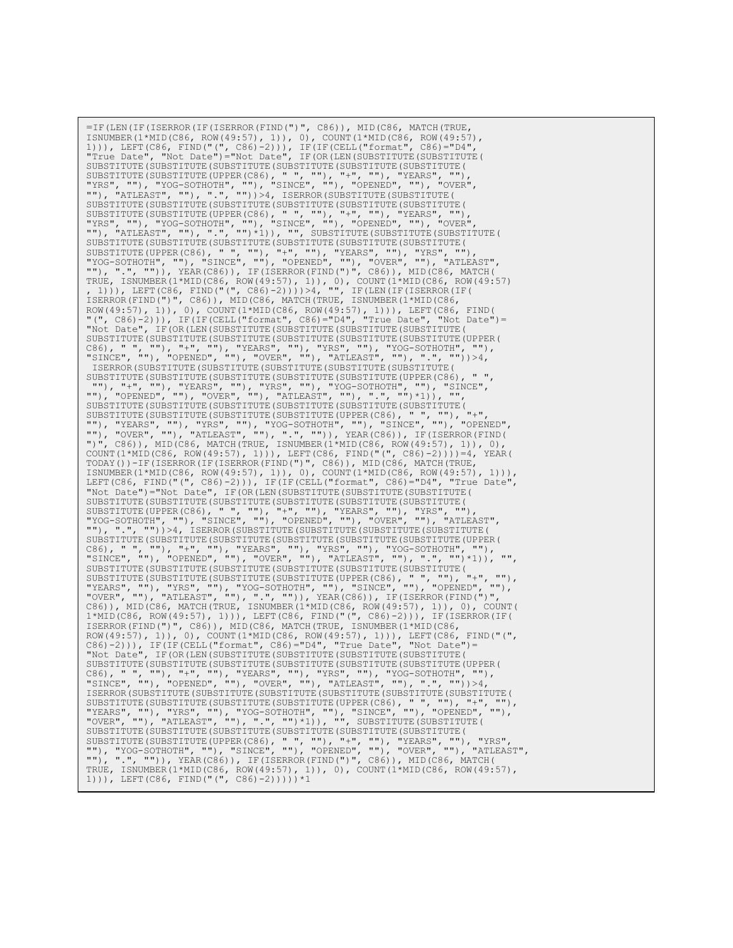=IF(LEN(IF(ISERROR(IF(ISERROR(FIND(")", C86)), MID(C86, MATCH(TRUE, ISNUMBER( $1*$ MID(C86, ROW( $49:57$ ), 1)), 0), COUNT( $1*$ MID(C86, ROW( $49:57$ ), 1))), LEFT(C86, FIND("(", C86)-2))), IF(IF(CELL("format", C86)="D4", "True Date", "Not Date")="Not Date", IF(OR(LEN(SUBSTITUTE(SUBSTITUTE( SUBSTITUTE(SUBSTITUTE(SUBSTITUTE(SUBSTITUTE(SUBSTITUTE(SUBSTITUTE( SUBSTITUTE(SUBSTITUTE(UPPER(C86), " ", ""), "+", ""), "YEARS", ""), "YRS", ""), "YOG-SOTHOTH", ""), "SINCE", ""), "OPENED", ""), "OVER", ""), "ATLEAST", ""), ".", ""))>4, ISERROR(SUBSTITUTE(SUBSTITUTE( SUBSTITUTE(SUBSTITUTE(SUBSTITUTE(SUBSTITUTE(SUBSTITUTE(SUBSTITUTE( SUBSTITUTE(SUBSTITUTE(UPPER(C86), " ", ""), "+", ""), "YEARS", ""), "YRS", ""), "YOG-SOTHOTH", ""), "SINCE", ""), "OPENED", ""), "OVER",  $"$ "), "ATLEAST",  $"$ "),  $"$ .",  $"''$ )\*1)),  $""$ , SUBSTITUTE(SUBSTITUTE(SUBSTITUTE( SUBSTITUTE(SUBSTITUTE(SUBSTITUTE(SUBSTITUTE(SUBSTITUTE(SUBSTITUTE( SUBSTITUTE(UPPER(C86), " ", ""), "+", ""), "YEARS", ""), "YRS", ""), "YOG-SOTHOTH", ""), "SINCE", ""), "OPENED", ""), "OVER", ""), "ATLEAST", ""), ".", "")), YEAR(C86)), IF(ISERROR(FIND(")", C86)), MID(C86, MATCH( TRUE, ISNUMBER(1\*MID(C86, ROW(49:57), 1)), 0), COUNT(1\*MID(C86, ROW(49:57) , 1))), LEFT(C86, FIND("(", C86)-2))))>4, "", IF(LEN(IF(ISERROR(IF( ISERROR(FIND(")", C86)), MID(C86, MATCH(TRUE, ISNUMBER(1\*MID(C86, ROW(49:57), 1)), 0), COUNT(1\*MID(C86, ROW(49:57), 1))), LEFT(C86, FIND( "(", C86)-2))), IF(IF(CELL("format", C86)="D4", "True Date", "Not Date")= "Not Date", IF(OR(LEN(SUBSTITUTE(SUBSTITUTE(SUBSTITUTE(SUBSTITUTE( SUBSTITUTE(SUBSTITUTE(SUBSTITUTE(SUBSTITUTE(SUBSTITUTE(SUBSTITUTE(UPPER( C86), " ", ""), "+", ""), "YEARS", ""), "YRS", ""), "YOG-SOTHOTH", ""), "SINCE", ""), "OPENED", ""), "OVER", ""), "ATLEAST", ""), ".", ""))>4, ISERROR(SUBSTITUTE(SUBSTITUTE(SUBSTITUTE(SUBSTITUTE(SUBSTITUTE( SUBSTITUTE(SUBSTITUTE(SUBSTITUTE(SUBSTITUTE(SUBSTITUTE(UPPER(C86), " ", ""), "+", ""), "YEARS", ""), "YRS", ""), "YOG-SOTHOTH", ""), "SINCE", ""), "OPENED", ""), "OVER", ""), "ATLEAST", ""), ".", "")\*1)), "", SUBSTITUTE(SUBSTITUTE(SUBSTITUTE(SUBSTITUTE(SUBSTITUTE(SUBSTITUTE( SUBSTITUTE(SUBSTITUTE(SUBSTITUTE(SUBSTITUTE(UPPER(C86), " ", ""), "+", ""), "YEARS", ""), "YRS", ""), "YOG-SOTHOTH", ""), "SINCE", ""), "OPENED", ""), "OVER", ""), "ATLEAST", ""), ".", "")), YEAR(C86)), IF(ISERROR(FIND( ")", C86)), MID(C86, MATCH(TRUE, ISNUMBER(1\*MID(C86, ROW(49:57), 1)), 0), COUNT(1\*MID(C86, ROW(49:57), 1))), LEFT(C86, FIND("(", C86)-2))))=4, YEAR( TODAY())-IF(ISERROR(IF(ISERROR(FIND(")", C86)), MID(C86, MATCH(TRUE,<br>ISNUMBER(1\*MID(C86, ROW(49:57), 1)), 0), COUNT(1\*MID(C86, ROW(49:57), 1))), LEFT(C86, FIND("(", C86)-2))), IF(IF(CELL("format", C86)="D4", "True Date", "Not Date")="Not Date", IF(OR(LEN(SUBSTITUTE(SUBSTITUTE(SUBSTITUTE( SUBSTITUTE(SUBSTITUTE(SUBSTITUTE(SUBSTITUTE(SUBSTITUTE(SUBSTITUTE( SUBSTITUTE(UPPER(C86), " ", ""), "+", ""), "YEARS", ""), "YRS", ""), "YOG-SOTHOTH", ""), "SINCE", ""), "OPENED", ""), "OVER", ""), "ATLEAST", ""), ".", ""))>4, ISERROR(SUBSTITUTE(SUBSTITUTE(SUBSTITUTE(SUBSTITUTE( SUBSTITUTE(SUBSTITUTE(SUBSTITUTE(SUBSTITUTE(SUBSTITUTE(SUBSTITUTE(UPPER( C86), " ", ""), "+", ""), "YEARS", ""), "YRS", ""), "YOG-SOTHOTH", ""), "SINCE", ""), "OPENED", ""), "OVER", ""), "ATLEAST", ""), ".", "")\*1)), "", SUBSTITUTE(SUBSTITUTE(SUBSTITUTE(SUBSTITUTE(SUBSTITUTE(SUBSTITUTE( SUBSTITUTE(SUBSTITUTE(SUBSTITUTE(SUBSTITUTE(UPPER(C86), " ", ""), "+", ""), "YEARS", ""), "YRS", ""), "YOG-SOTHOTH", ""), "SINCE", ""), "OPENED", ""), "OVER", ""), "ATLEAST", ""), ".", "")), YEAR(C86)), IF(ISERROR(FIND(")", C86)), MID(C86, MATCH(TRUE, ISNUMBER(1\*MID(C86, ROW(49:57), 1)), 0), COUNT( 1\*MID(C86, ROW(49:57), 1))), LEFT(C86, FIND("(", C86)-2))), IF(ISERROR(IF( ISERROR(FIND(")", C86)), MID(C86, MATCH(TRUE, ISNUMBER(1\*MID(C86, ROW(49:57), 1)), 0), COUNT(1\*MID(C86, ROW(49:57), 1))), LEFT(C86, FIND("(", C86)-2))), IF(IF(CELL("format", C86)="D4", "True Date", "Not Date")= "Not Date", IF(OR(LEN(SUBSTITUTE(SUBSTITUTE(SUBSTITUTE(SUBSTITUTE( SUBSTITUTE(SUBSTITUTE(SUBSTITUTE(SUBSTITUTE(SUBSTITUTE(SUBSTITUTE(UPPER( C86), " ", ""), "+", ""), "YEARS", ""), "YRS", ""), "YOG-SOTHOTH", ""), "SINCE", ""), "OPENED", ""), "OVER", ""), "ATLEAST", ""), ".", ""))>4, ISERROR(SUBSTITUTE(SUBSTITUTE(SUBSTITUTE(SUBSTITUTE(SUBSTITUTE(SUBSTITUTE( SUBSTITUTE(SUBSTITUTE(SUBSTITUTE(SUBSTITUTE(UPPER(C86), " ", ""), "+", ""), "YEARS", ""), "YRS", ""), "YOG-SOTHOTH", ""), "SINCE", ""), "OPENED", ""), "OVER", ""), "ATLEAST", ""), ".", "")\*1)), "", SUBSTITUTE(SUBSTITUTE( SUBSTITUTE(SUBSTITUTE(SUBSTITUTE(SUBSTITUTE(SUBSTITUTE(SUBSTITUTE( SUBSTITUTE(SUBSTITUTE(UPPER(C86), " ", ""), "+", ""), "YEARS", ""), "YRS", ""), "YOG-SOTHOTH", ""), "SINCE", ""), "OPENED", ""), "OVER", ""), "ATLEAST", ""), ".", "")), YEAR(C86)), IF(ISERROR(FIND(")", C86)), MID(C86, MATCH( TRUE, ISNUMBER(1\*MID(C86, ROW(49:57), 1)), 0), COUNT(1\*MID(C86, ROW(49:57), 1))), LEFT(C86, FIND("(", C86)-2)))))\*1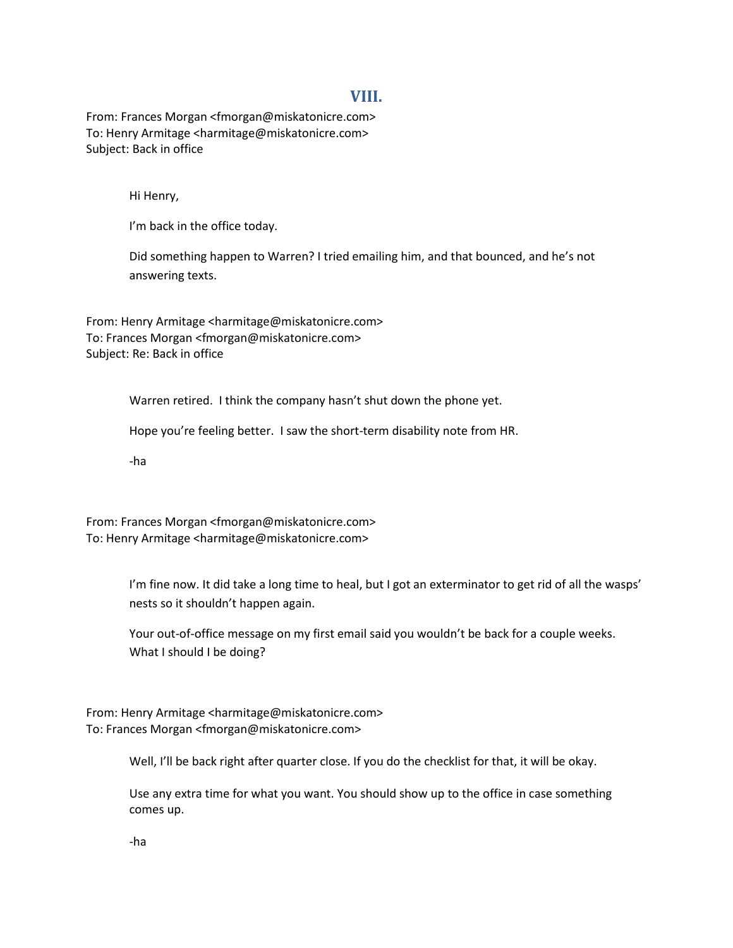# **VIII.**

From: Frances Morgan <fmorgan@miskatonicre.com> To: Henry Armitage <harmitage@miskatonicre.com> Subject: Back in office

Hi Henry,

I'm back in the office today.

Did something happen to Warren? I tried emailing him, and that bounced, and he's not answering texts.

From: Henry Armitage <harmitage@miskatonicre.com> To: Frances Morgan <fmorgan@miskatonicre.com> Subject: Re: Back in office

Warren retired. I think the company hasn't shut down the phone yet.

Hope you're feeling better. I saw the short-term disability note from HR.

-ha

From: Frances Morgan <fmorgan@miskatonicre.com> To: Henry Armitage <harmitage@miskatonicre.com>

> I'm fine now. It did take a long time to heal, but I got an exterminator to get rid of all the wasps' nests so it shouldn't happen again.

Your out-of-office message on my first email said you wouldn't be back for a couple weeks. What I should I be doing?

From: Henry Armitage <harmitage@miskatonicre.com> To: Frances Morgan <fmorgan@miskatonicre.com>

Well, I'll be back right after quarter close. If you do the checklist for that, it will be okay.

Use any extra time for what you want. You should show up to the office in case something comes up.

-ha